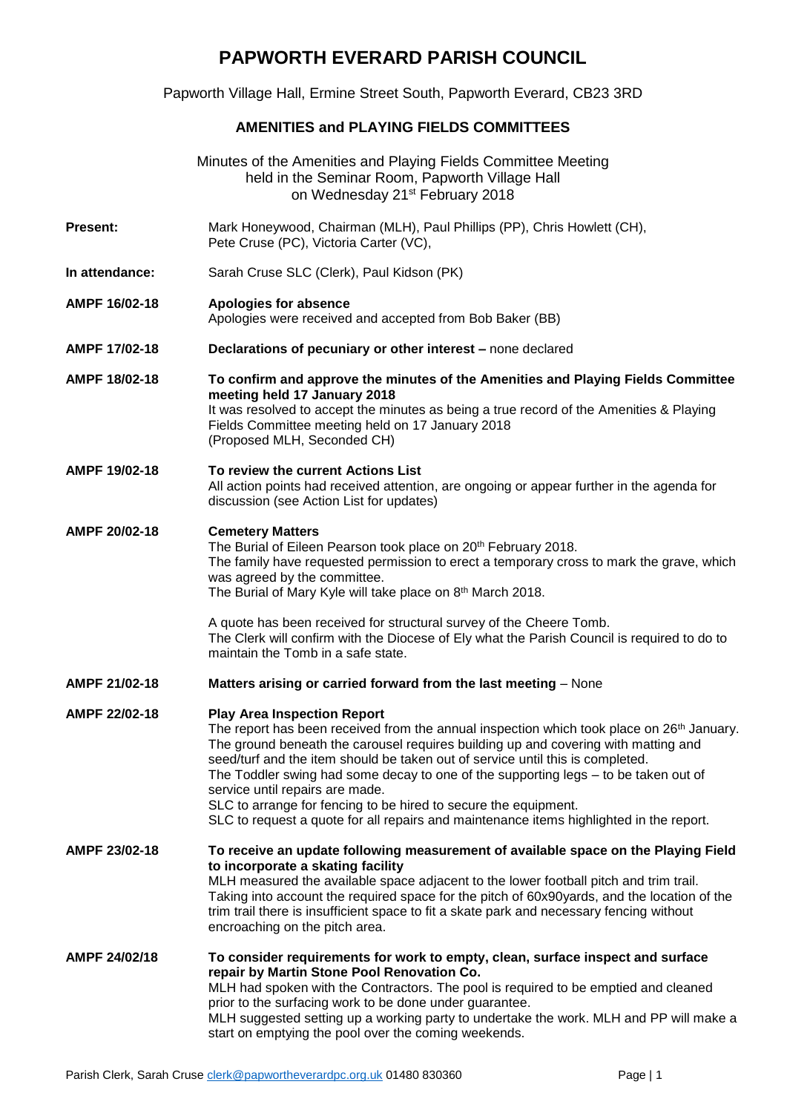## **PAPWORTH EVERARD PARISH COUNCIL**

Papworth Village Hall, Ermine Street South, Papworth Everard, CB23 3RD

## **AMENITIES and PLAYING FIELDS COMMITTEES**

|                 | Minutes of the Amenities and Playing Fields Committee Meeting<br>held in the Seminar Room, Papworth Village Hall<br>on Wednesday 21 <sup>st</sup> February 2018                                                                                                                                                                                                                                                                                                                                                                                                                                               |
|-----------------|---------------------------------------------------------------------------------------------------------------------------------------------------------------------------------------------------------------------------------------------------------------------------------------------------------------------------------------------------------------------------------------------------------------------------------------------------------------------------------------------------------------------------------------------------------------------------------------------------------------|
| <b>Present:</b> | Mark Honeywood, Chairman (MLH), Paul Phillips (PP), Chris Howlett (CH),<br>Pete Cruse (PC), Victoria Carter (VC),                                                                                                                                                                                                                                                                                                                                                                                                                                                                                             |
| In attendance:  | Sarah Cruse SLC (Clerk), Paul Kidson (PK)                                                                                                                                                                                                                                                                                                                                                                                                                                                                                                                                                                     |
| AMPF 16/02-18   | Apologies for absence<br>Apologies were received and accepted from Bob Baker (BB)                                                                                                                                                                                                                                                                                                                                                                                                                                                                                                                             |
| AMPF 17/02-18   | Declarations of pecuniary or other interest - none declared                                                                                                                                                                                                                                                                                                                                                                                                                                                                                                                                                   |
| AMPF 18/02-18   | To confirm and approve the minutes of the Amenities and Playing Fields Committee<br>meeting held 17 January 2018<br>It was resolved to accept the minutes as being a true record of the Amenities & Playing<br>Fields Committee meeting held on 17 January 2018<br>(Proposed MLH, Seconded CH)                                                                                                                                                                                                                                                                                                                |
| AMPF 19/02-18   | To review the current Actions List<br>All action points had received attention, are ongoing or appear further in the agenda for<br>discussion (see Action List for updates)                                                                                                                                                                                                                                                                                                                                                                                                                                   |
| AMPF 20/02-18   | <b>Cemetery Matters</b><br>The Burial of Eileen Pearson took place on 20 <sup>th</sup> February 2018.<br>The family have requested permission to erect a temporary cross to mark the grave, which<br>was agreed by the committee.<br>The Burial of Mary Kyle will take place on 8 <sup>th</sup> March 2018.                                                                                                                                                                                                                                                                                                   |
|                 | A quote has been received for structural survey of the Cheere Tomb.<br>The Clerk will confirm with the Diocese of Ely what the Parish Council is required to do to<br>maintain the Tomb in a safe state.                                                                                                                                                                                                                                                                                                                                                                                                      |
| AMPF 21/02-18   | Matters arising or carried forward from the last meeting - None                                                                                                                                                                                                                                                                                                                                                                                                                                                                                                                                               |
| AMPF 22/02-18   | <b>Play Area Inspection Report</b><br>The report has been received from the annual inspection which took place on 26 <sup>th</sup> January.<br>The ground beneath the carousel requires building up and covering with matting and<br>seed/turf and the item should be taken out of service until this is completed.<br>The Toddler swing had some decay to one of the supporting legs $-$ to be taken out of<br>service until repairs are made.<br>SLC to arrange for fencing to be hired to secure the equipment.<br>SLC to request a quote for all repairs and maintenance items highlighted in the report. |
| AMPF 23/02-18   | To receive an update following measurement of available space on the Playing Field<br>to incorporate a skating facility<br>MLH measured the available space adjacent to the lower football pitch and trim trail.<br>Taking into account the required space for the pitch of 60x90yards, and the location of the<br>trim trail there is insufficient space to fit a skate park and necessary fencing without<br>encroaching on the pitch area.                                                                                                                                                                 |
| AMPF 24/02/18   | To consider requirements for work to empty, clean, surface inspect and surface<br>repair by Martin Stone Pool Renovation Co.<br>MLH had spoken with the Contractors. The pool is required to be emptied and cleaned<br>prior to the surfacing work to be done under guarantee.<br>MLH suggested setting up a working party to undertake the work. MLH and PP will make a<br>start on emptying the pool over the coming weekends.                                                                                                                                                                              |